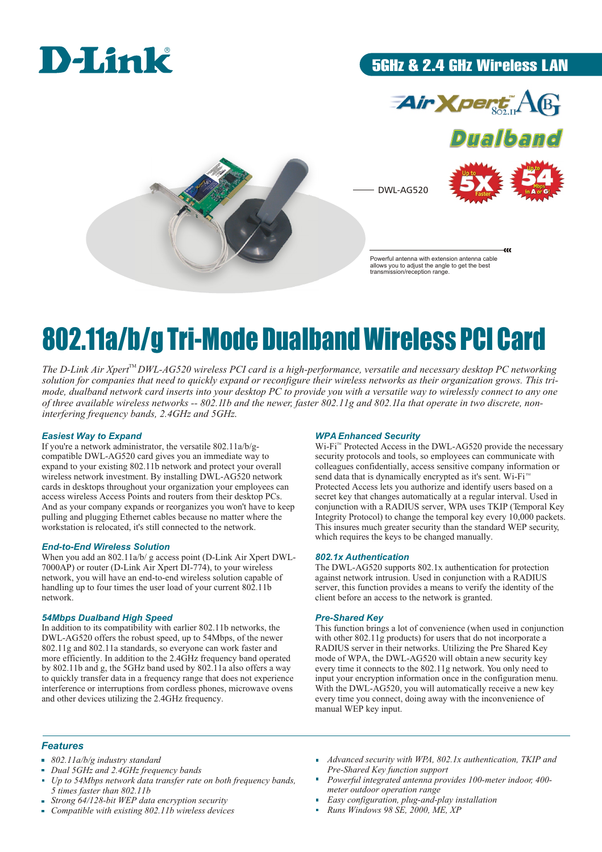

### 5GHz & 2.4 GHz Wireless LAN





 $\alpha$ 

DWL-AG520



Powerful antenna with extension antenna cable allows you to adjust the angle to get the best transmission/reception range.

# 802.11a/b/g Tri-Mode Dualband Wireless PCI Card

The D-Link Air Xpert<sup>TM</sup> DWL-AG520 wireless PCI card is a high-performance, versatile and necessary desktop PC networking *solution for companies that need to quickly expand or reconfigure their wireless networks as their organization grows. This trimode, dualband network card inserts into your desktop PC to provide you with a versatile way to wirelessly connect to any one of three available wireless networks -- 802.11b and the newer, faster 802.11g and 802.11a that operate in two discrete, noninterfering frequency bands, 2.4GHz and 5GHz*.

#### *Easiest Way to Expand*

If you're a network administrator, the versatile 802.11a/b/gcompatible DWL-AG520 card gives you an immediate way to expand to your existing 802.11b network and protect your overall wireless network investment. By installing DWL-AG520 network cards in desktops throughout your organization your employees can access wireless Access Points and routers from their desktop PCs. And as your company expands or reorganizes you won't have to keep pulling and plugging Ethernet cables because no matter where the workstation is relocated, it's still connected to the network.

#### *End-to-End Wireless Solution*

When you add an 802.11a/b/ g access point (D-Link Air Xpert DWL-7000AP) or router (D-Link Air Xpert DI-774), to your wireless network, you will have an end-to-end wireless solution capable of handling up to four times the user load of your current 802.11b network.

#### *54Mbps Dualband High Speed*

In addition to its compatibility with earlier 802.11b networks, the DWL-AG520 offers the robust speed, up to 54Mbps, of the newer 802.11g and 802.11a standards, so everyone can work faster and more efficiently. In addition to the 2.4GHz frequency band operated by 802.11b and g, the 5GHz band used by 802.11a also offers a way to quickly transfer data in a frequency range that does not experience interference or interruptions from cordless phones, microwave ovens and other devices utilizing the 2.4GHz frequency.

#### *WPA Enhanced Security*

Wi-Fi<sup>™</sup> Protected Access in the DWL-AG520 provide the necessary security protocols and tools, so employees can communicate with colleagues confidentially, access sensitive company information or Protected Access lets you authorize and identify users based on a secret key that changes automatically at a regular interval. Used in conjunction with a RADIUS server, WPA uses TKIP (Temporal Key Integrity Protocol) to change the temporal key every 10,000 packets. This insures much greater security than the standard WEP security, which requires the keys to be changed manually. send data that is dynamically encrypted as it's sent. Wi-Fi<sup>™</sup>

#### *802.1x Authentication*

The DWL-AG520 supports 802.1x authentication for protection against network intrusion. Used in conjunction with a RADIUS server, this function provides a means to verify the identity of the client before an access to the network is granted.

#### *Pre-Shared Key*

This function brings a lot of convenience (when used in conjunction with other 802.11g products) for users that do not incorporate a RADIUS server in their networks. Utilizing the Pre Shared Key mode of WPA, the DWL-AG520 will obtain a new security key every time it connects to the 802.11g network. You only need to input your encryption information once in the configuration menu. With the DWL-AG520, you will automatically receive a new key every time you connect, doing away with the inconvenience of manual WEP key input.

#### *Features*

- *802.11a/b/g industry standard*
- *Dual 5GHz and 2.4GHz frequency bands*
- *Up to 54Mbps network data transfer rate on both frequency bands, 5 times faster than 802.11b*
- *Strong 64/128-bit WEP data encryption security*
- *Compatible with existing 802.11b wireless devices*
- *Advanced security with WPA, 802.1x authentication, TKIP and Pre-Shared Key function support*
- *Powerful integrated antenna provides 100-meter indoor, 400 meter outdoor operation range*
- *Easy configuration, plug-and-play installation*
- *Runs Windows 98 SE, 2000, ME, XP*